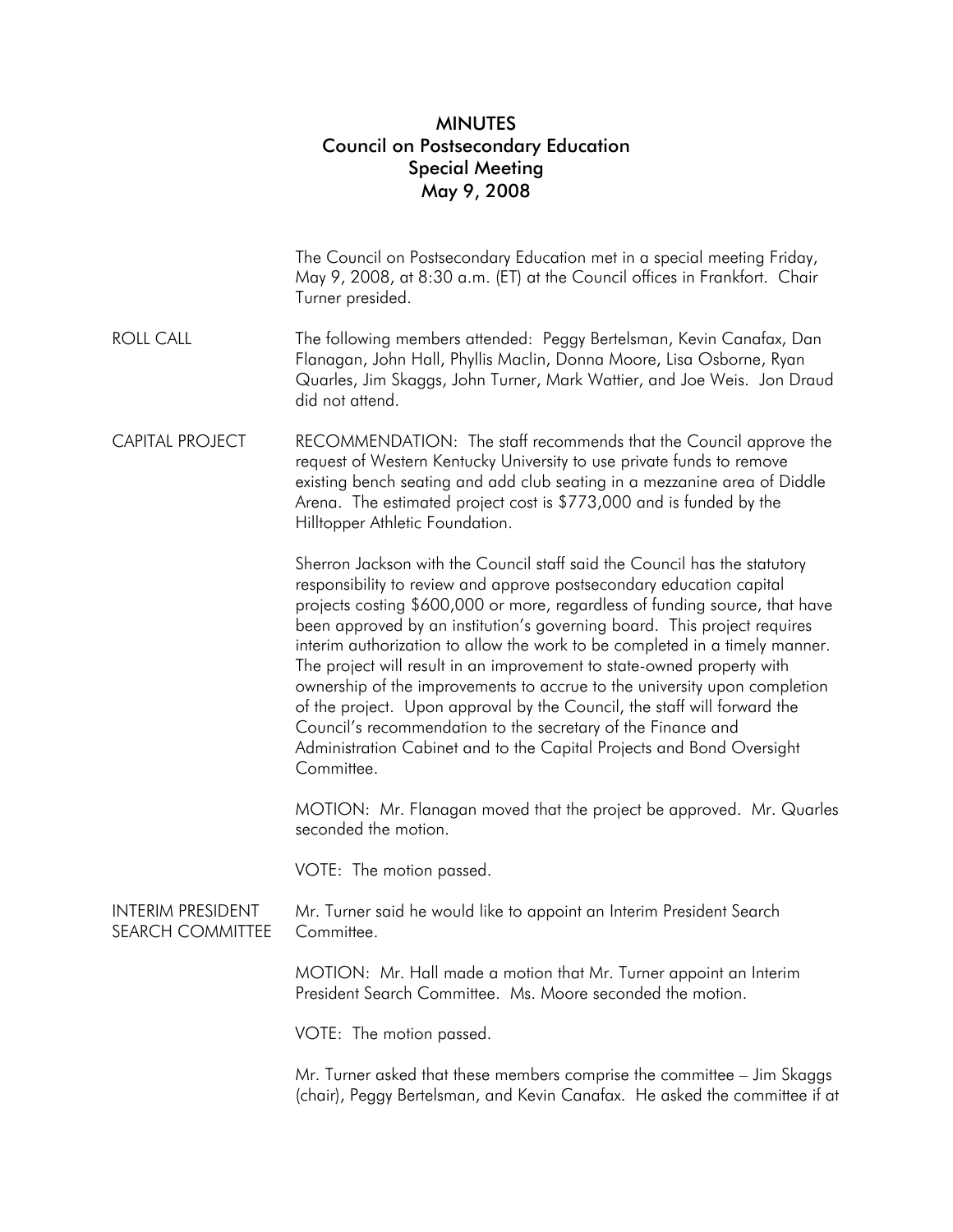## MINUTES Council on Postsecondary Education Special Meeting May 9, 2008

|                                                     | The Council on Postsecondary Education met in a special meeting Friday,<br>May 9, 2008, at 8:30 a.m. (ET) at the Council offices in Frankfort. Chair<br>Turner presided.                                                                                                                                                                                                                                                                                                                                                                                                                                                                                                                                                                                                              |
|-----------------------------------------------------|---------------------------------------------------------------------------------------------------------------------------------------------------------------------------------------------------------------------------------------------------------------------------------------------------------------------------------------------------------------------------------------------------------------------------------------------------------------------------------------------------------------------------------------------------------------------------------------------------------------------------------------------------------------------------------------------------------------------------------------------------------------------------------------|
| <b>ROLL CALL</b>                                    | The following members attended: Peggy Bertelsman, Kevin Canafax, Dan<br>Flanagan, John Hall, Phyllis Maclin, Donna Moore, Lisa Osborne, Ryan<br>Quarles, Jim Skaggs, John Turner, Mark Wattier, and Joe Weis. Jon Draud<br>did not attend.                                                                                                                                                                                                                                                                                                                                                                                                                                                                                                                                            |
| <b>CAPITAL PROJECT</b>                              | RECOMMENDATION: The staff recommends that the Council approve the<br>request of Western Kentucky University to use private funds to remove<br>existing bench seating and add club seating in a mezzanine area of Diddle<br>Arena. The estimated project cost is \$773,000 and is funded by the<br>Hilltopper Athletic Foundation.                                                                                                                                                                                                                                                                                                                                                                                                                                                     |
|                                                     | Sherron Jackson with the Council staff said the Council has the statutory<br>responsibility to review and approve postsecondary education capital<br>projects costing \$600,000 or more, regardless of funding source, that have<br>been approved by an institution's governing board. This project requires<br>interim authorization to allow the work to be completed in a timely manner.<br>The project will result in an improvement to state-owned property with<br>ownership of the improvements to accrue to the university upon completion<br>of the project. Upon approval by the Council, the staff will forward the<br>Council's recommendation to the secretary of the Finance and<br>Administration Cabinet and to the Capital Projects and Bond Oversight<br>Committee. |
|                                                     | MOTION: Mr. Flanagan moved that the project be approved. Mr. Quarles<br>seconded the motion.                                                                                                                                                                                                                                                                                                                                                                                                                                                                                                                                                                                                                                                                                          |
|                                                     | VOTE: The motion passed.                                                                                                                                                                                                                                                                                                                                                                                                                                                                                                                                                                                                                                                                                                                                                              |
| <b>INTERIM PRESIDENT</b><br><b>SEARCH COMMITTEE</b> | Mr. Turner said he would like to appoint an Interim President Search<br>Committee                                                                                                                                                                                                                                                                                                                                                                                                                                                                                                                                                                                                                                                                                                     |
|                                                     | MOTION: Mr. Hall made a motion that Mr. Turner appoint an Interim<br>President Search Committee. Ms. Moore seconded the motion.                                                                                                                                                                                                                                                                                                                                                                                                                                                                                                                                                                                                                                                       |
|                                                     | VOTE: The motion passed.                                                                                                                                                                                                                                                                                                                                                                                                                                                                                                                                                                                                                                                                                                                                                              |
|                                                     | Mr. Turner asked that these members comprise the committee - Jim Skaggs<br>(chair), Peggy Bertelsman, and Kevin Canafax. He asked the committee if at                                                                                                                                                                                                                                                                                                                                                                                                                                                                                                                                                                                                                                 |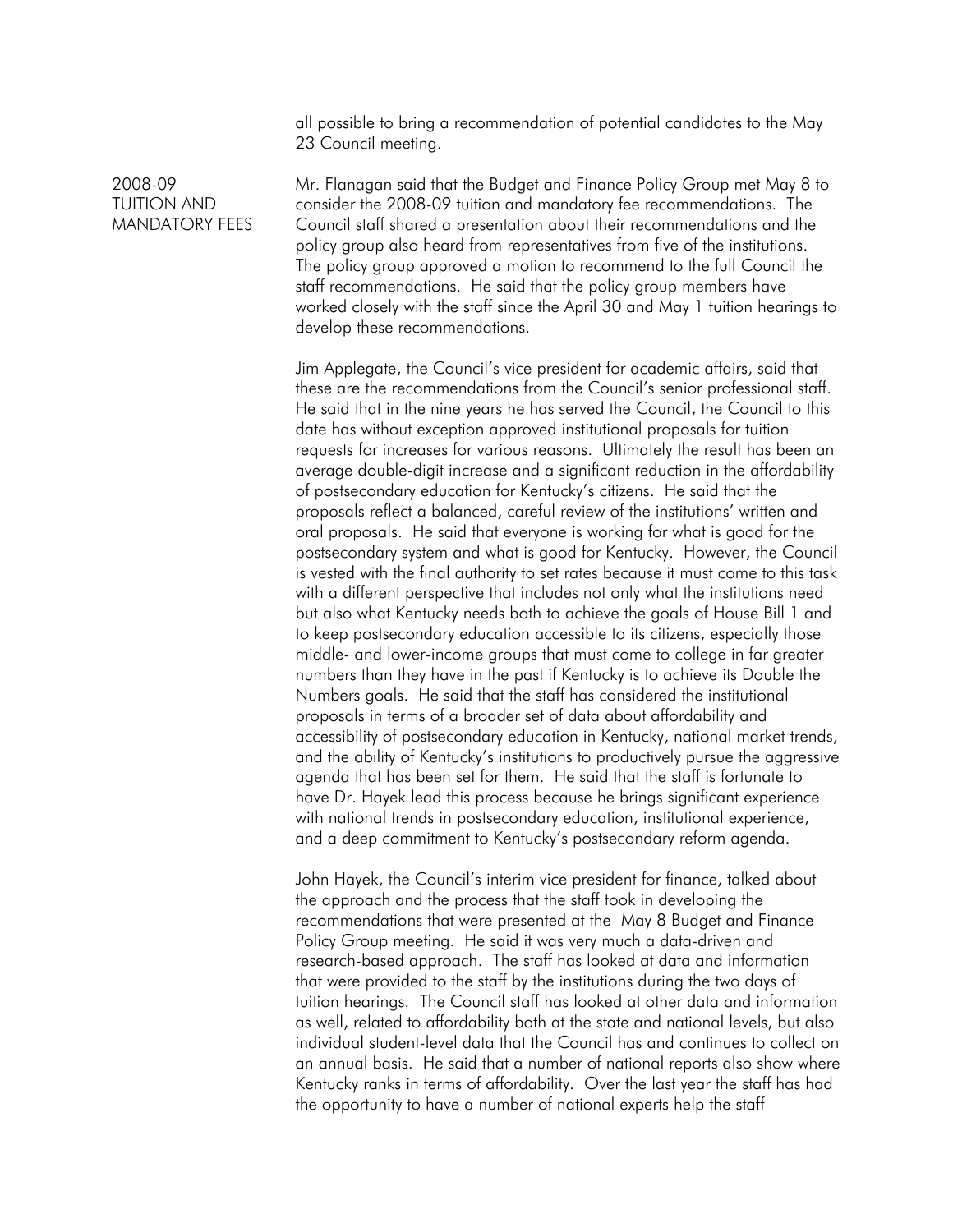all possible to bring a recommendation of potential candidates to the May 23 Council meeting.

## 2008-09 TUITION AND MANDATORY FEES

Mr. Flanagan said that the Budget and Finance Policy Group met May 8 to consider the 2008-09 tuition and mandatory fee recommendations. The Council staff shared a presentation about their recommendations and the policy group also heard from representatives from five of the institutions. The policy group approved a motion to recommend to the full Council the staff recommendations. He said that the policy group members have worked closely with the staff since the April 30 and May 1 tuition hearings to develop these recommendations.

Jim Applegate, the Council's vice president for academic affairs, said that these are the recommendations from the Council's senior professional staff. He said that in the nine years he has served the Council, the Council to this date has without exception approved institutional proposals for tuition requests for increases for various reasons. Ultimately the result has been an average double-digit increase and a significant reduction in the affordability of postsecondary education for Kentucky's citizens. He said that the proposals reflect a balanced, careful review of the institutions' written and oral proposals. He said that everyone is working for what is good for the postsecondary system and what is good for Kentucky. However, the Council is vested with the final authority to set rates because it must come to this task with a different perspective that includes not only what the institutions need but also what Kentucky needs both to achieve the goals of House Bill 1 and to keep postsecondary education accessible to its citizens, especially those middle- and lower-income groups that must come to college in far greater numbers than they have in the past if Kentucky is to achieve its Double the Numbers goals. He said that the staff has considered the institutional proposals in terms of a broader set of data about affordability and accessibility of postsecondary education in Kentucky, national market trends, and the ability of Kentucky's institutions to productively pursue the aggressive agenda that has been set for them. He said that the staff is fortunate to have Dr. Hayek lead this process because he brings significant experience with national trends in postsecondary education, institutional experience, and a deep commitment to Kentucky's postsecondary reform agenda.

John Hayek, the Council's interim vice president for finance, talked about the approach and the process that the staff took in developing the recommendations that were presented at the May 8 Budget and Finance Policy Group meeting. He said it was very much a data-driven and research-based approach. The staff has looked at data and information that were provided to the staff by the institutions during the two days of tuition hearings. The Council staff has looked at other data and information as well, related to affordability both at the state and national levels, but also individual student-level data that the Council has and continues to collect on an annual basis. He said that a number of national reports also show where Kentucky ranks in terms of affordability. Over the last year the staff has had the opportunity to have a number of national experts help the staff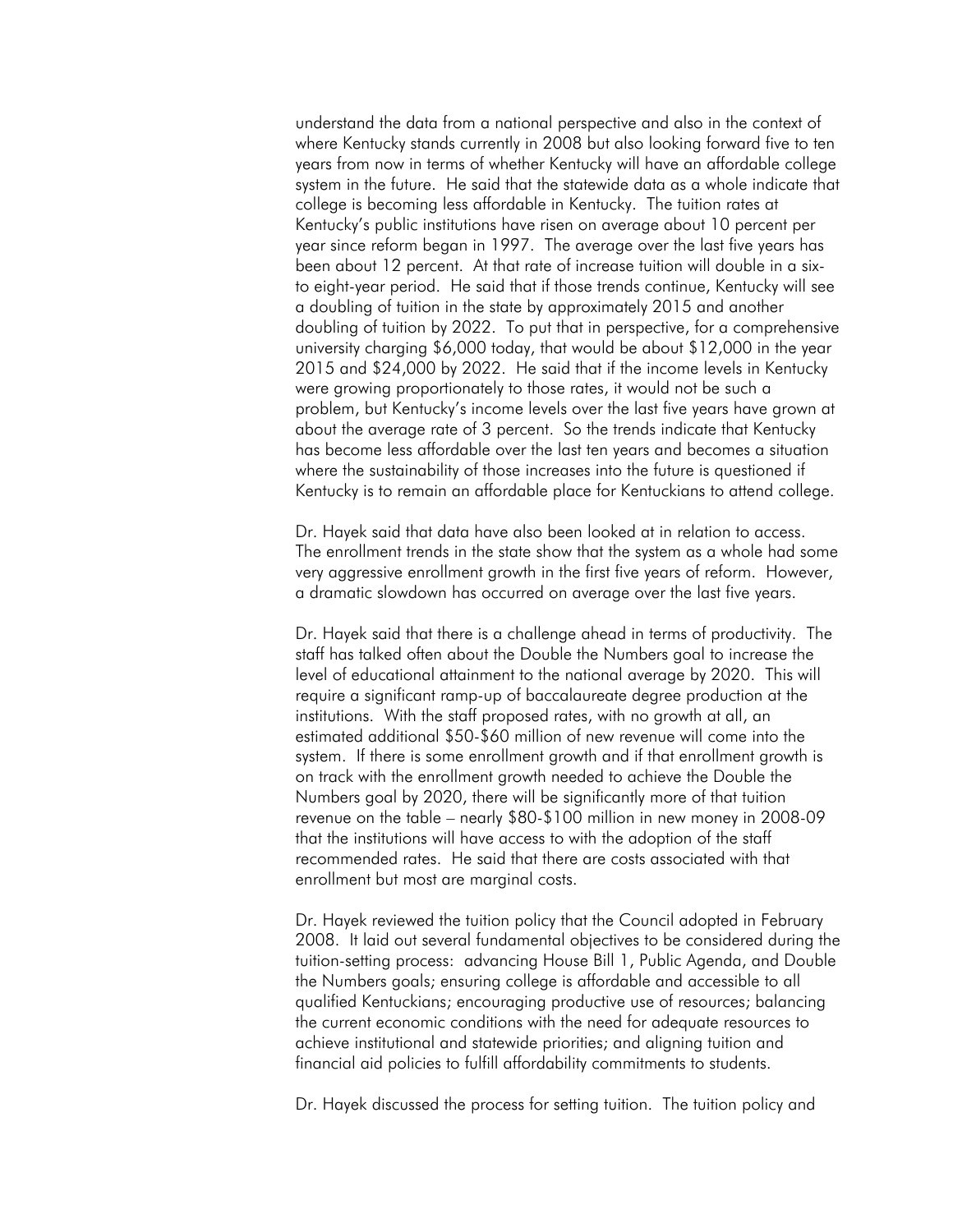understand the data from a national perspective and also in the context of where Kentucky stands currently in 2008 but also looking forward five to ten years from now in terms of whether Kentucky will have an affordable college system in the future. He said that the statewide data as a whole indicate that college is becoming less affordable in Kentucky. The tuition rates at Kentucky's public institutions have risen on average about 10 percent per year since reform began in 1997. The average over the last five years has been about 12 percent. At that rate of increase tuition will double in a sixto eight-year period. He said that if those trends continue, Kentucky will see a doubling of tuition in the state by approximately 2015 and another doubling of tuition by 2022. To put that in perspective, for a comprehensive university charging \$6,000 today, that would be about \$12,000 in the year 2015 and \$24,000 by 2022. He said that if the income levels in Kentucky were growing proportionately to those rates, it would not be such a problem, but Kentucky's income levels over the last five years have grown at about the average rate of 3 percent. So the trends indicate that Kentucky has become less affordable over the last ten years and becomes a situation where the sustainability of those increases into the future is questioned if Kentucky is to remain an affordable place for Kentuckians to attend college.

Dr. Hayek said that data have also been looked at in relation to access. The enrollment trends in the state show that the system as a whole had some very aggressive enrollment growth in the first five years of reform. However, a dramatic slowdown has occurred on average over the last five years.

Dr. Hayek said that there is a challenge ahead in terms of productivity. The staff has talked often about the Double the Numbers goal to increase the level of educational attainment to the national average by 2020. This will require a significant ramp-up of baccalaureate degree production at the institutions. With the staff proposed rates, with no growth at all, an estimated additional \$50-\$60 million of new revenue will come into the system. If there is some enrollment growth and if that enrollment growth is on track with the enrollment growth needed to achieve the Double the Numbers goal by 2020, there will be significantly more of that tuition revenue on the table – nearly \$80-\$100 million in new money in 2008-09 that the institutions will have access to with the adoption of the staff recommended rates. He said that there are costs associated with that enrollment but most are marginal costs.

Dr. Hayek reviewed the tuition policy that the Council adopted in February 2008. It laid out several fundamental objectives to be considered during the tuition-setting process: advancing House Bill 1, Public Agenda, and Double the Numbers goals; ensuring college is affordable and accessible to all qualified Kentuckians; encouraging productive use of resources; balancing the current economic conditions with the need for adequate resources to achieve institutional and statewide priorities; and aligning tuition and financial aid policies to fulfill affordability commitments to students.

Dr. Hayek discussed the process for setting tuition. The tuition policy and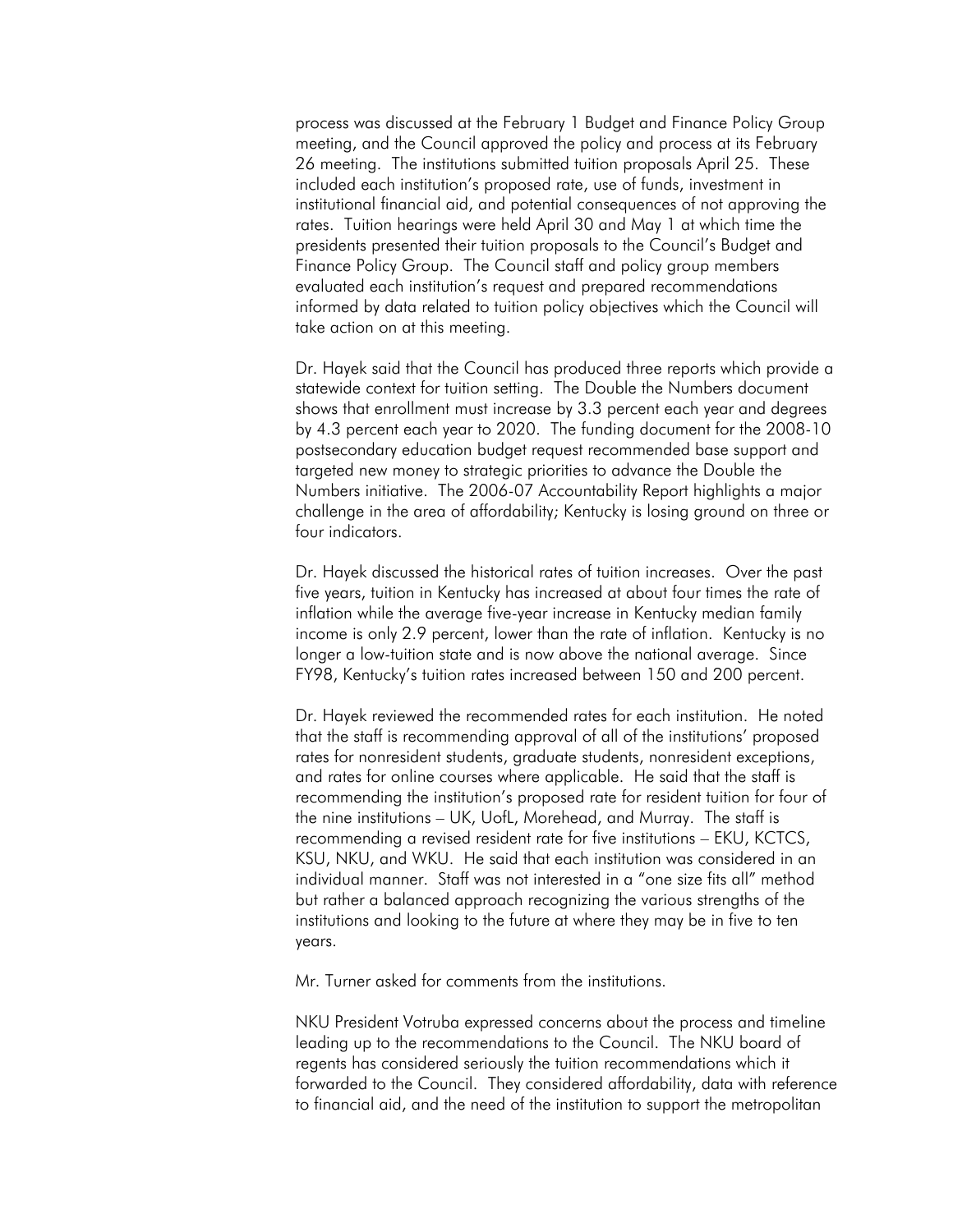process was discussed at the February 1 Budget and Finance Policy Group meeting, and the Council approved the policy and process at its February 26 meeting. The institutions submitted tuition proposals April 25. These included each institution's proposed rate, use of funds, investment in institutional financial aid, and potential consequences of not approving the rates. Tuition hearings were held April 30 and May 1 at which time the presidents presented their tuition proposals to the Council's Budget and Finance Policy Group. The Council staff and policy group members evaluated each institution's request and prepared recommendations informed by data related to tuition policy objectives which the Council will take action on at this meeting.

Dr. Hayek said that the Council has produced three reports which provide a statewide context for tuition setting. The Double the Numbers document shows that enrollment must increase by 3.3 percent each year and degrees by 4.3 percent each year to 2020. The funding document for the 2008-10 postsecondary education budget request recommended base support and targeted new money to strategic priorities to advance the Double the Numbers initiative. The 2006-07 Accountability Report highlights a major challenge in the area of affordability; Kentucky is losing ground on three or four indicators.

Dr. Hayek discussed the historical rates of tuition increases. Over the past five years, tuition in Kentucky has increased at about four times the rate of inflation while the average five-year increase in Kentucky median family income is only 2.9 percent, lower than the rate of inflation. Kentucky is no longer a low-tuition state and is now above the national average. Since FY98, Kentucky's tuition rates increased between 150 and 200 percent.

Dr. Hayek reviewed the recommended rates for each institution. He noted that the staff is recommending approval of all of the institutions' proposed rates for nonresident students, graduate students, nonresident exceptions, and rates for online courses where applicable. He said that the staff is recommending the institution's proposed rate for resident tuition for four of the nine institutions – UK, UofL, Morehead, and Murray. The staff is recommending a revised resident rate for five institutions – EKU, KCTCS, KSU, NKU, and WKU. He said that each institution was considered in an individual manner. Staff was not interested in a "one size fits all" method but rather a balanced approach recognizing the various strengths of the institutions and looking to the future at where they may be in five to ten years.

Mr. Turner asked for comments from the institutions.

NKU President Votruba expressed concerns about the process and timeline leading up to the recommendations to the Council. The NKU board of regents has considered seriously the tuition recommendations which it forwarded to the Council. They considered affordability, data with reference to financial aid, and the need of the institution to support the metropolitan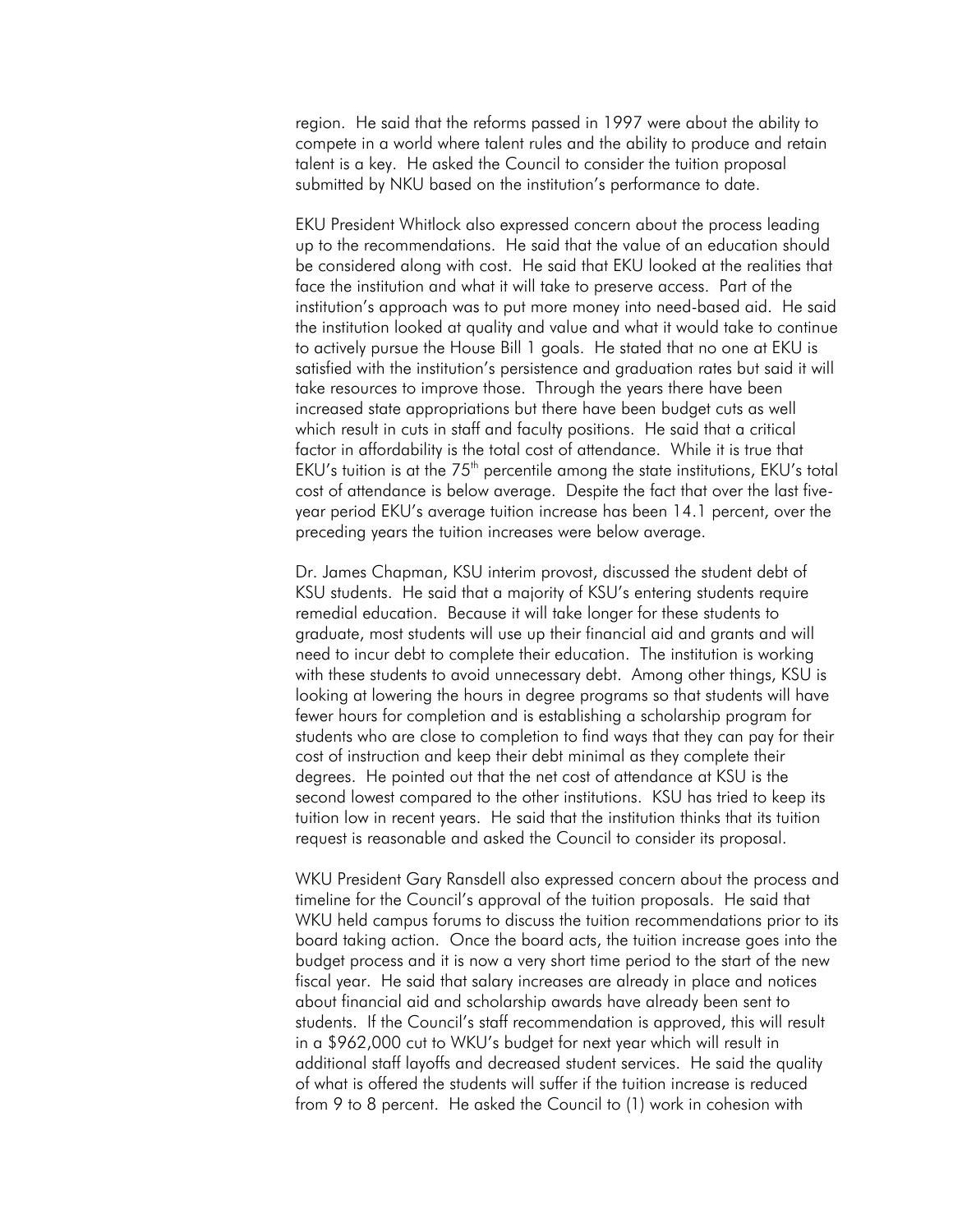region. He said that the reforms passed in 1997 were about the ability to compete in a world where talent rules and the ability to produce and retain talent is a key. He asked the Council to consider the tuition proposal submitted by NKU based on the institution's performance to date.

EKU President Whitlock also expressed concern about the process leading up to the recommendations. He said that the value of an education should be considered along with cost. He said that EKU looked at the realities that face the institution and what it will take to preserve access. Part of the institution's approach was to put more money into need-based aid. He said the institution looked at quality and value and what it would take to continue to actively pursue the House Bill 1 goals. He stated that no one at EKU is satisfied with the institution's persistence and graduation rates but said it will take resources to improve those. Through the years there have been increased state appropriations but there have been budget cuts as well which result in cuts in staff and faculty positions. He said that a critical factor in affordability is the total cost of attendance. While it is true that EKU's tuition is at the  $75<sup>th</sup>$  percentile among the state institutions, EKU's total cost of attendance is below average. Despite the fact that over the last fiveyear period EKU's average tuition increase has been 14.1 percent, over the preceding years the tuition increases were below average.

Dr. James Chapman, KSU interim provost, discussed the student debt of KSU students. He said that a majority of KSU's entering students require remedial education. Because it will take longer for these students to graduate, most students will use up their financial aid and grants and will need to incur debt to complete their education. The institution is working with these students to avoid unnecessary debt. Among other things, KSU is looking at lowering the hours in degree programs so that students will have fewer hours for completion and is establishing a scholarship program for students who are close to completion to find ways that they can pay for their cost of instruction and keep their debt minimal as they complete their degrees. He pointed out that the net cost of attendance at KSU is the second lowest compared to the other institutions. KSU has tried to keep its tuition low in recent years. He said that the institution thinks that its tuition request is reasonable and asked the Council to consider its proposal.

WKU President Gary Ransdell also expressed concern about the process and timeline for the Council's approval of the tuition proposals. He said that WKU held campus forums to discuss the tuition recommendations prior to its board taking action. Once the board acts, the tuition increase goes into the budget process and it is now a very short time period to the start of the new fiscal year. He said that salary increases are already in place and notices about financial aid and scholarship awards have already been sent to students. If the Council's staff recommendation is approved, this will result in a \$962,000 cut to WKU's budget for next year which will result in additional staff layoffs and decreased student services. He said the quality of what is offered the students will suffer if the tuition increase is reduced from 9 to 8 percent. He asked the Council to (1) work in cohesion with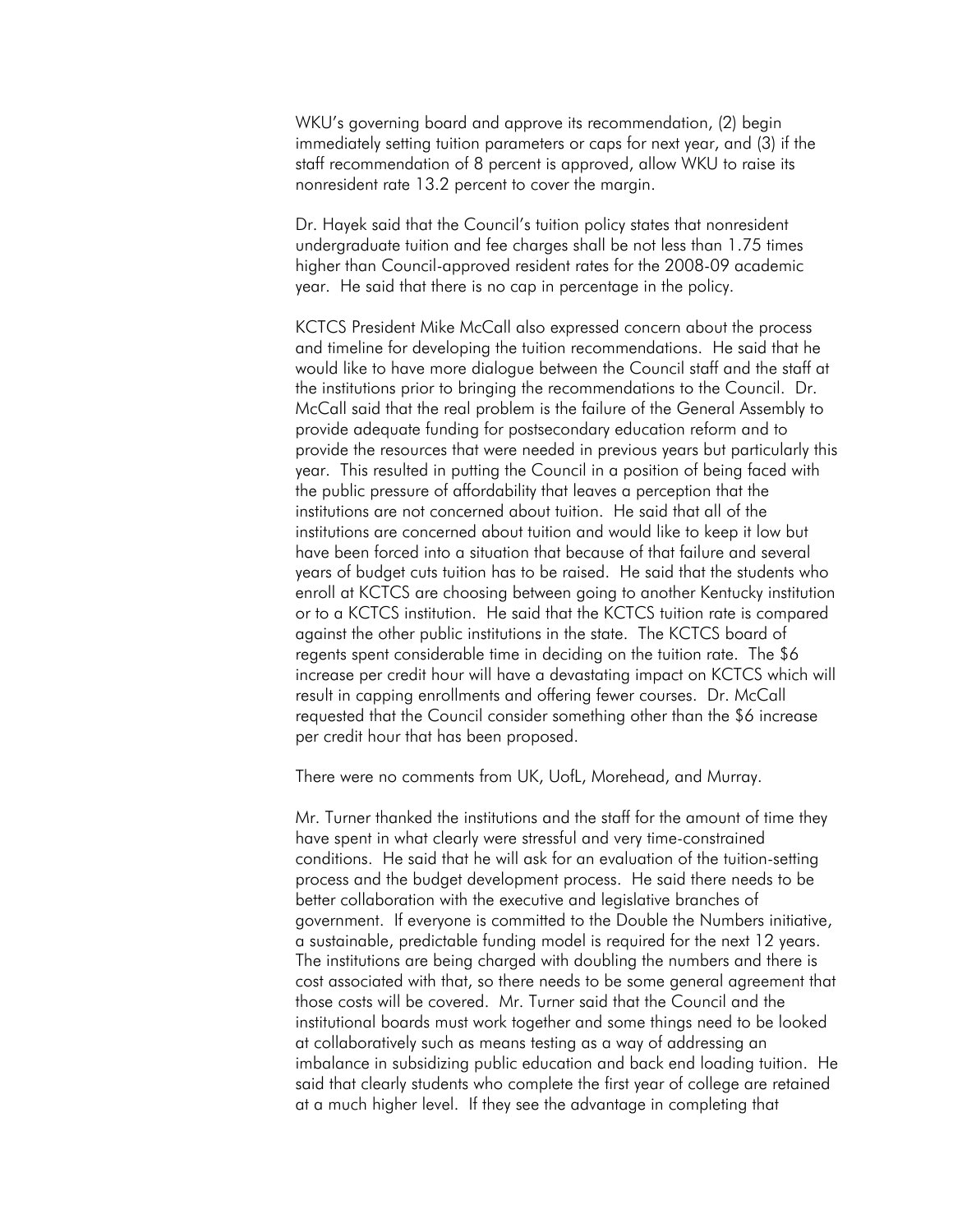WKU's governing board and approve its recommendation, (2) begin immediately setting tuition parameters or caps for next year, and (3) if the staff recommendation of 8 percent is approved, allow WKU to raise its nonresident rate 13.2 percent to cover the margin.

Dr. Hayek said that the Council's tuition policy states that nonresident undergraduate tuition and fee charges shall be not less than 1.75 times higher than Council-approved resident rates for the 2008-09 academic year. He said that there is no cap in percentage in the policy.

KCTCS President Mike McCall also expressed concern about the process and timeline for developing the tuition recommendations. He said that he would like to have more dialogue between the Council staff and the staff at the institutions prior to bringing the recommendations to the Council. Dr. McCall said that the real problem is the failure of the General Assembly to provide adequate funding for postsecondary education reform and to provide the resources that were needed in previous years but particularly this year. This resulted in putting the Council in a position of being faced with the public pressure of affordability that leaves a perception that the institutions are not concerned about tuition. He said that all of the institutions are concerned about tuition and would like to keep it low but have been forced into a situation that because of that failure and several years of budget cuts tuition has to be raised. He said that the students who enroll at KCTCS are choosing between going to another Kentucky institution or to a KCTCS institution. He said that the KCTCS tuition rate is compared against the other public institutions in the state. The KCTCS board of regents spent considerable time in deciding on the tuition rate. The \$6 increase per credit hour will have a devastating impact on KCTCS which will result in capping enrollments and offering fewer courses. Dr. McCall requested that the Council consider something other than the \$6 increase per credit hour that has been proposed.

There were no comments from UK, UofL, Morehead, and Murray.

Mr. Turner thanked the institutions and the staff for the amount of time they have spent in what clearly were stressful and very time-constrained conditions. He said that he will ask for an evaluation of the tuition-setting process and the budget development process. He said there needs to be better collaboration with the executive and legislative branches of government. If everyone is committed to the Double the Numbers initiative, a sustainable, predictable funding model is required for the next 12 years. The institutions are being charged with doubling the numbers and there is cost associated with that, so there needs to be some general agreement that those costs will be covered. Mr. Turner said that the Council and the institutional boards must work together and some things need to be looked at collaboratively such as means testing as a way of addressing an imbalance in subsidizing public education and back end loading tuition. He said that clearly students who complete the first year of college are retained at a much higher level. If they see the advantage in completing that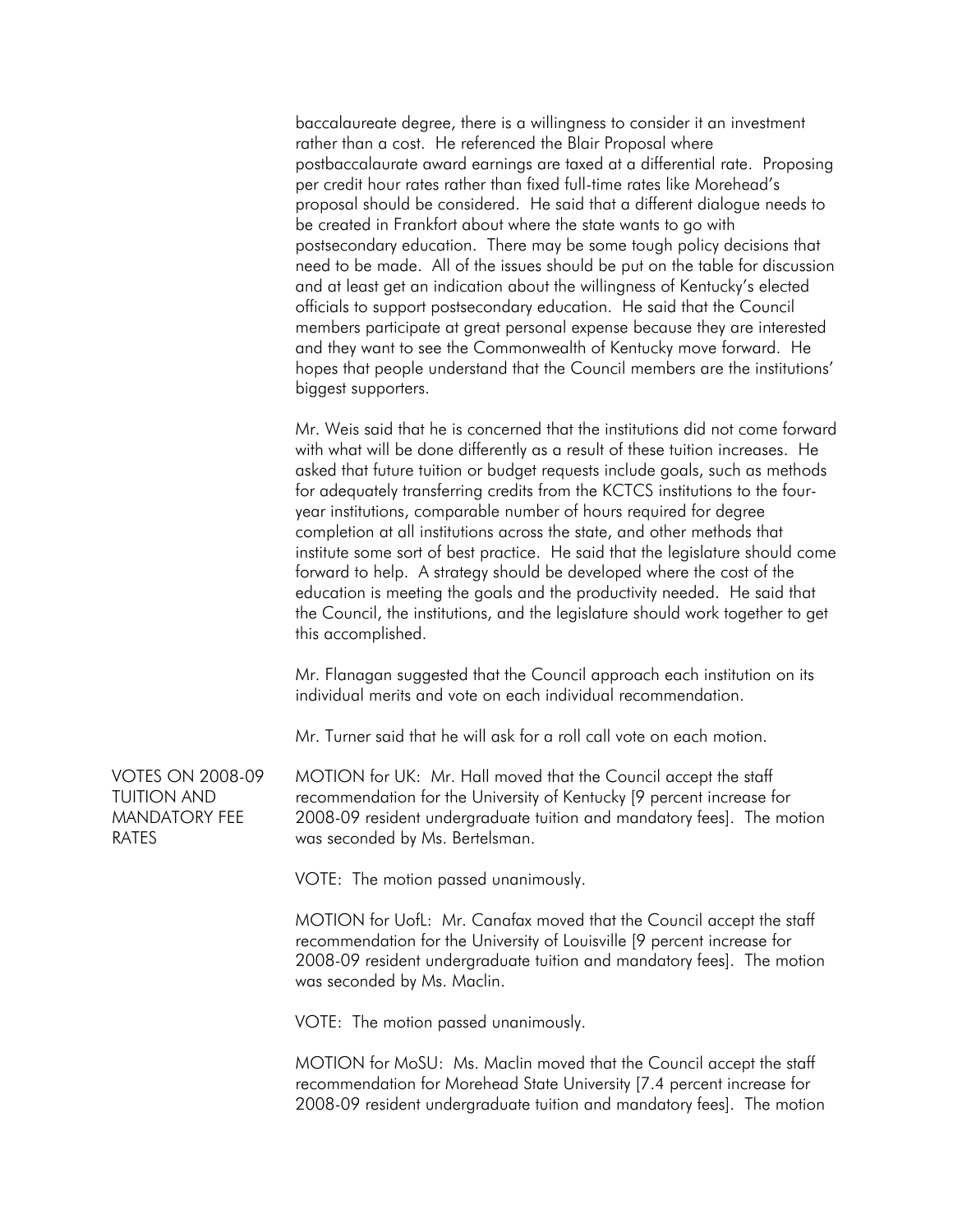baccalaureate degree, there is a willingness to consider it an investment rather than a cost. He referenced the Blair Proposal where postbaccalaurate award earnings are taxed at a differential rate. Proposing per credit hour rates rather than fixed full-time rates like Morehead's proposal should be considered. He said that a different dialogue needs to be created in Frankfort about where the state wants to go with postsecondary education. There may be some tough policy decisions that need to be made. All of the issues should be put on the table for discussion and at least get an indication about the willingness of Kentucky's elected officials to support postsecondary education. He said that the Council members participate at great personal expense because they are interested and they want to see the Commonwealth of Kentucky move forward. He hopes that people understand that the Council members are the institutions' biggest supporters.

Mr. Weis said that he is concerned that the institutions did not come forward with what will be done differently as a result of these tuition increases. He asked that future tuition or budget requests include goals, such as methods for adequately transferring credits from the KCTCS institutions to the fouryear institutions, comparable number of hours required for degree completion at all institutions across the state, and other methods that institute some sort of best practice. He said that the legislature should come forward to help. A strategy should be developed where the cost of the education is meeting the goals and the productivity needed. He said that the Council, the institutions, and the legislature should work together to get this accomplished.

Mr. Flanagan suggested that the Council approach each institution on its individual merits and vote on each individual recommendation.

Mr. Turner said that he will ask for a roll call vote on each motion.

VOTES ON 2008-09 TUITION AND MANDATORY FEE RATES

MOTION for UK: Mr. Hall moved that the Council accept the staff recommendation for the University of Kentucky [9 percent increase for 2008-09 resident undergraduate tuition and mandatory fees]. The motion was seconded by Ms. Bertelsman.

VOTE: The motion passed unanimously.

MOTION for UofL: Mr. Canafax moved that the Council accept the staff recommendation for the University of Louisville [9 percent increase for 2008-09 resident undergraduate tuition and mandatory fees]. The motion was seconded by Ms. Maclin.

VOTE: The motion passed unanimously.

MOTION for MoSU: Ms. Maclin moved that the Council accept the staff recommendation for Morehead State University [7.4 percent increase for 2008-09 resident undergraduate tuition and mandatory fees]. The motion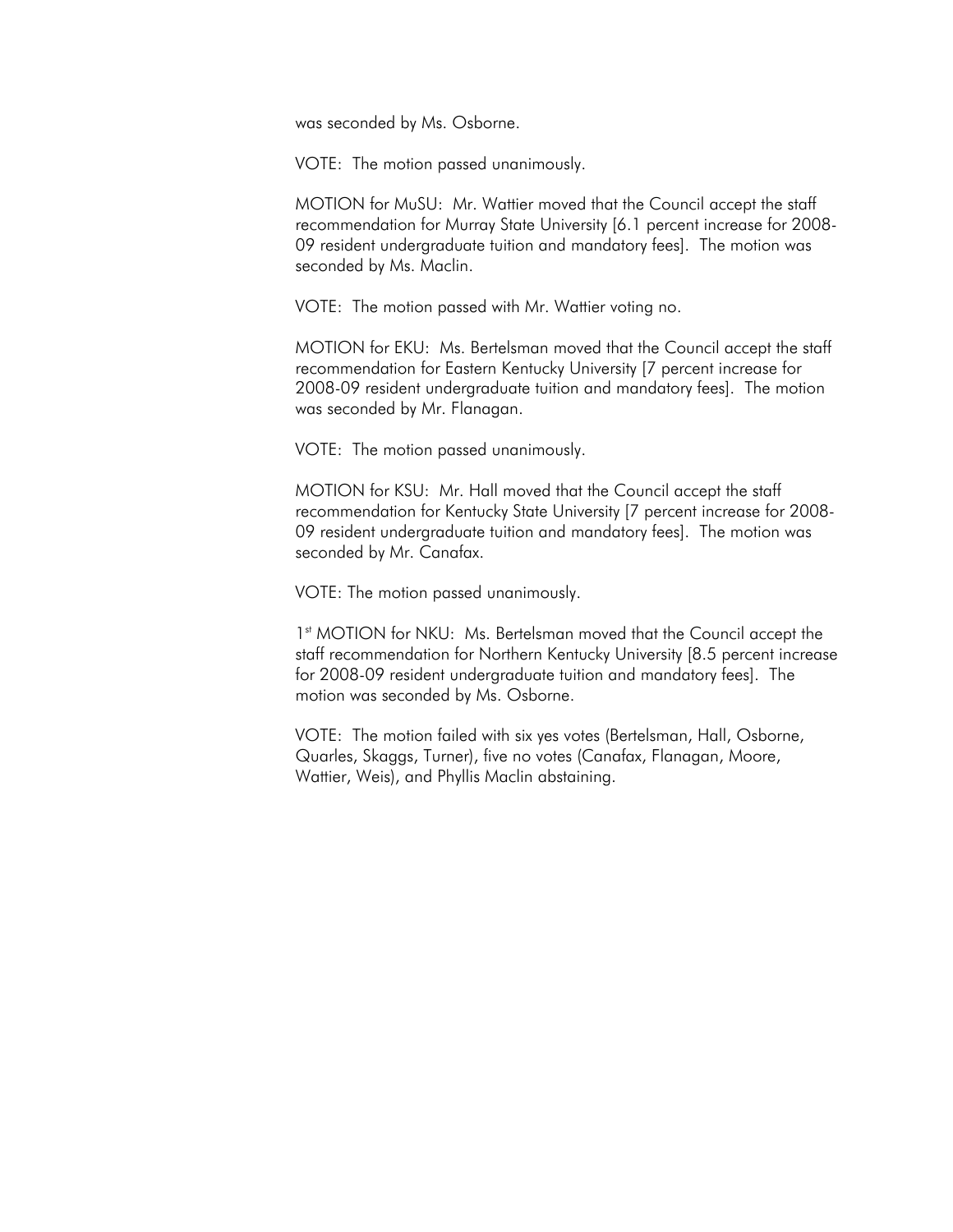was seconded by Ms. Osborne.

VOTE: The motion passed unanimously.

MOTION for MuSU: Mr. Wattier moved that the Council accept the staff recommendation for Murray State University [6.1 percent increase for 2008- 09 resident undergraduate tuition and mandatory fees]. The motion was seconded by Ms. Maclin.

VOTE: The motion passed with Mr. Wattier voting no.

MOTION for EKU: Ms. Bertelsman moved that the Council accept the staff recommendation for Eastern Kentucky University [7 percent increase for 2008-09 resident undergraduate tuition and mandatory fees]. The motion was seconded by Mr. Flanagan.

VOTE: The motion passed unanimously.

MOTION for KSU: Mr. Hall moved that the Council accept the staff recommendation for Kentucky State University [7 percent increase for 2008- 09 resident undergraduate tuition and mandatory fees]. The motion was seconded by Mr. Canafax.

VOTE: The motion passed unanimously.

1st MOTION for NKU: Ms. Bertelsman moved that the Council accept the staff recommendation for Northern Kentucky University [8.5 percent increase for 2008-09 resident undergraduate tuition and mandatory fees]. The motion was seconded by Ms. Osborne.

VOTE: The motion failed with six yes votes (Bertelsman, Hall, Osborne, Quarles, Skaggs, Turner), five no votes (Canafax, Flanagan, Moore, Wattier, Weis), and Phyllis Maclin abstaining.